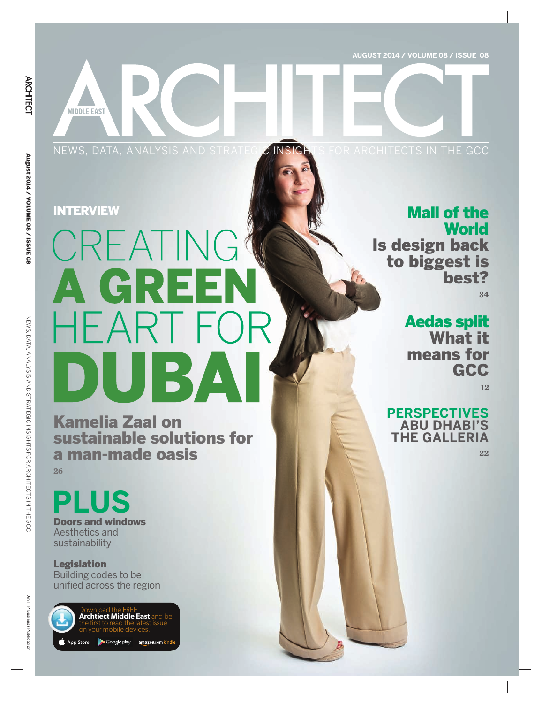**AUGUST 2014 / VOLUME 08 / ISSUE 08**

NEWS, DATA, ANALYSIS AND STRATEGIC INSIGHTS FOR ARCHITECTS IN THE GCC

**MIDDLE EAST** 

# CREATING A GREEN **HEART FOR** DUBAI

Kamelia Zaal on sustainable solutions for a man-made oasis **26** 

## **PLUS**

Doors and windows Aesthetics and sustainability

Legislation Building codes to be unified across the region



Download the FREE **Archtiect Middle East** and be the first to read the latest issue on your mobile devices.

Google play amazon.com kind op Store

### INTERVIEW **Mall of the Mall of the Mall of the Mall of the Mall of the Mall of the Mall of the Mall of the Mall of the Mall of the Mall of the Mall of the Mall of the Mall of the Mall of the Mall of the Mall of the Mall of World**

Is design back to biggest is best?

**34**

### Aedas split

What it means for **GCC** 

**12**

#### **PERSPECTIVES ABU DHABI'S THE GALLERIA**

**22**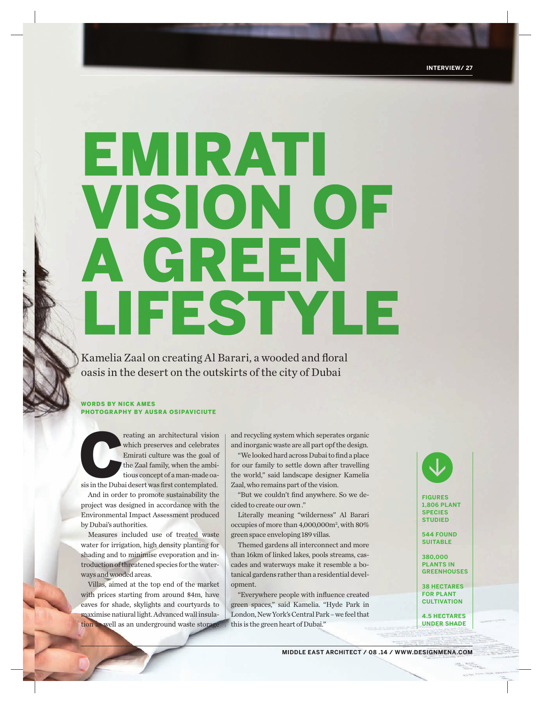# EMIRATI **VISION OF** A GREEN LIFESTYLE

Kamelia Zaal on creating Al Barari, a wooded and floral oasis in the desert on the outskirts of the city of Dubai

#### WORDS BY NICK AMES PHOTOGRAPHY BY AUSRA OSIPAVICIUTE

reating an architectural vision which preserves and celebrates Emirati culture was the goal of the Zaal family, when the ambitious concept of a man-made oasis in the Dubai desert was first contemplated. which preserves and celebrates Emirati culture was the goal of the Zaal family, when the ambitious concept of a man-made oa-

And in order to promote sustainability the project was designed in accordance with the Environmental Impact Assessment produced

by Dubai's authorities. Measures included use of treated waste water for irrigation, high density planting for shading and to minimise eveporation and introduction of threatened species for the waterways and wooded areas.

Villas, aimed at the top end of the market with prices starting from around \$4m, have eaves for shade, skylights and courtyards to maximise natiural light. Advanced wall insulation as well as an underground waste storage and recycling system which seperates organic and inorganic waste are all part opf the design.

"We looked hard across Dubai to find a place for our family to settle down after travelling the world," said landscape designer Kamelia Zaal, who remains part of the vision.

"But we couldn't find anywhere. So we decided to create our own ."

Literally meaning "wilderness" Al Barari occupies of more than 4,000,000m2 , with 80% green space enveloping 189 villas.

Themed gardens all interconnect and more than 16km of linked lakes, pools streams, cascades and waterways make it resemble a botanical gardens rather than a residential development. FIGURES<br>
In a dividerness" Al Barari species<br>
than 4,000,000m<sup>2</sup>, with 80%<br>
loping 189 villas.<br>
and interconnect and more<br>
ked lakes, pools streams, cas-<br>
ways make it resemble a bo-<br>
pricharms are all Kamelia. "Hyde Park

"Everywhere people with influence created green spaces," said Kamelia. "Hyde Park in London, New York's Central Park – we feel that this is the green heart of Dubai."



**1,806 PLANT SPECIES STUDIED**

**544 FOUND SUITABLE**

**380,000 PLANTS IN GREENHOUSES**

**38 HECTARES FOR PLANT CULTIVATION**

**4.5 HECTARES UNDER SHADE**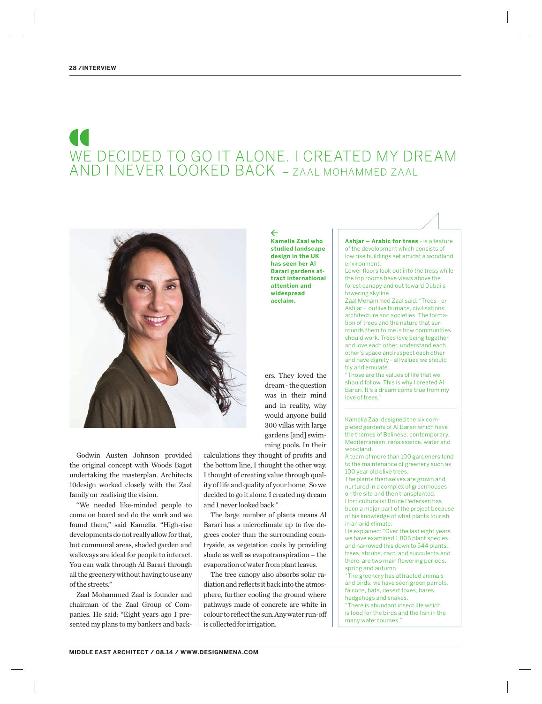## WE DECIDED TO GO IT ALONE. I CREATED MY DREAM AND I NEVER LOOKED BACK – ZAAL MOHAMMED ZAAL

 $\leftarrow$ 



Godwin Austen Johnson provided the original concept with Woods Bagot undertaking the masterplan. Architects 10design worked closely with the Zaal family on realising the vision.

"We needed like-minded people to come on board and do the work and we found them," said Kamelia. "High-rise developments do not really allow for that, but communal areas, shaded garden and walkways are ideal for people to interact. You can walk through Al Barari through all the greenery without having to use any of the streets."

Zaal Mohammed Zaal is founder and chairman of the Zaal Group of Companies. He said: "Eight years ago I presented my plans to my bankers and backcalculations they thought of profits and the bottom line, I thought the other way. I thought of creating value through quality of life and quality of your home. So we decided to go it alone. I created my dream and I never looked back."

The large number of plants means Al Barari has a microclimate up to five degrees cooler than the surrounding countryside, as vegetation cools by providing shade as well as evapotranspiration – the evaporation of water from plant leaves.

The tree canopy also absorbs solar radiation and reflects it back into the atmosphere, further cooling the ground where pathways made of concrete are white in colour to reflect the sun. Any water run-off is collected for irrigation.

**Kamelia Zaal who studied landscape design in the UK has seen her Al Barari gardens attract international attention and widespread acclaim.**

ers. They loved the dream - the question was in their mind and in reality, why would anyone build 300 villas with large gardens [and] swimming pools. In their

**Ashjar – Arabic for trees** - is a feature of the development which consists of low rise buildings set amidst a woodland environment.

Lower floors look out into the tress while the top rooms have views above the forest canopy and out toward Dubai's towering skyline.

Zaal Mohammed Zaal said: "Trees - or Ashiar - outlive humans, civilisations architecture and societies. The formation of trees and the nature that surrounds them to me is how communities should work. Trees love being together and love each other, understand each other's space and respect each other and have dignity - all values we should try and emulate.

"Those are the values of life that we should follow. This is why I created Al Barari. It's a dream come true from my love of trees."

Kamelia Zaal designed the six completed gardens of Al Barari which have the themes of Balinese, contemporary, Mediterranean, renaissance, water and woodland.

A team of more than 100 gardeners tend to the maintenance of greenery such as 100 year old olive trees.

The plants themselves are grown and nurtured in a complex of greenhouses on the site and then transplanted. Horticulturalist Bruce Pedersen has been a major part of the project because of his knowledge of what plants fourish in an arid climate.

He explained: "Over the last eight years we have examined 1,806 plant species and narrowed this down to 544 plants, trees, shrubs, cacti and succulents and there are two main flowering periods, spring and autumn.

"The greenery has attracted animals and birds, we have seen green parrots, falcons, bats, desert foxes, hares hedgehogs and snakes.

"There is abundant insect life which is food for the birds and the fish in the many watercourses."